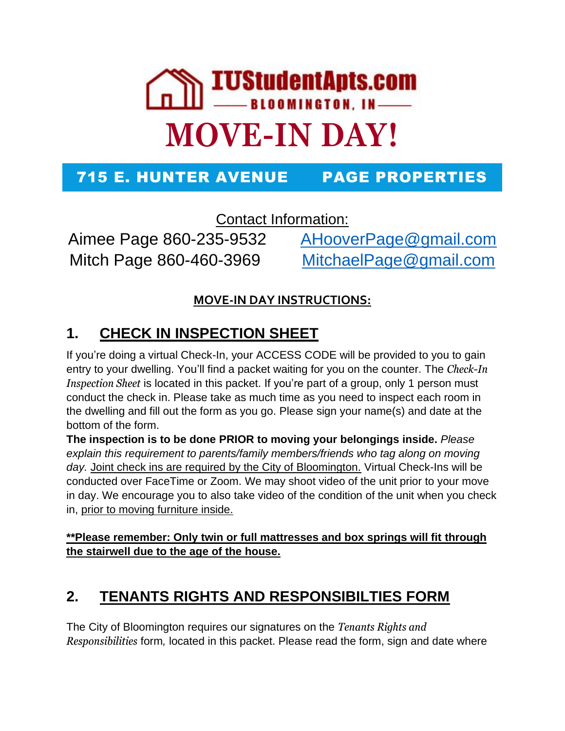

#### 715 E. HUNTER AVENUE PAGE PROPERTIES

Contact Information:

Mitch Page 860-460-3969 [MitchaelPage@gmail.com](mailto:MitchaelPage@gmail.com)

Aimee Page 860-235-9532 [AHooverPage@gmail.com](mailto:AHooverPage@gmail.com)

#### **MOVE-IN DAY INSTRUCTIONS:**

## **1. CHECK IN INSPECTION SHEET**

If you're doing a virtual Check-In, your ACCESS CODE will be provided to you to gain entry to your dwelling. You'll find a packet waiting for you on the counter. The *Check-In Inspection Sheet* is located in this packet. If you're part of a group, only 1 person must conduct the check in. Please take as much time as you need to inspect each room in the dwelling and fill out the form as you go. Please sign your name(s) and date at the bottom of the form.

**The inspection is to be done PRIOR to moving your belongings inside.** *Please explain this requirement to parents/family members/friends who tag along on moving day.* Joint check ins are required by the City of Bloomington. Virtual Check-Ins will be conducted over FaceTime or Zoom. We may shoot video of the unit prior to your move in day. We encourage you to also take video of the condition of the unit when you check in, prior to moving furniture inside.

**\*\*Please remember: Only twin or full mattresses and box springs will fit through the stairwell due to the age of the house.**

#### **2. TENANTS RIGHTS AND RESPONSIBILTIES FORM**

The City of Bloomington requires our signatures on the *Tenants Rights and Responsibilities* form*,* located in this packet. Please read the form, sign and date where